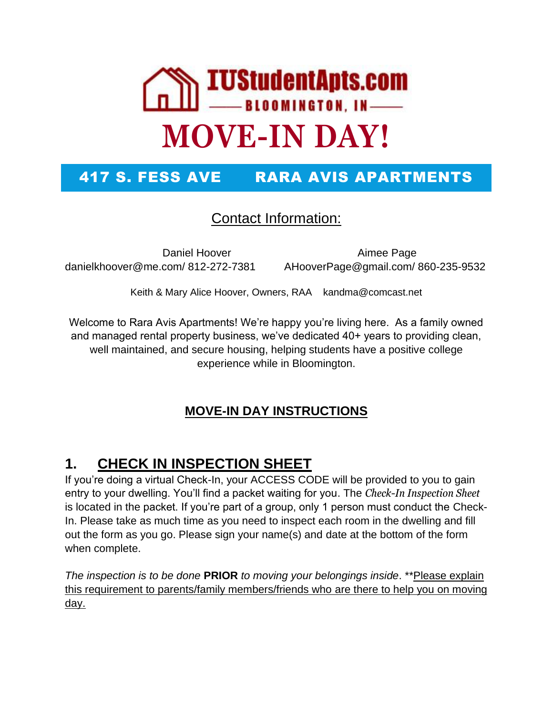

## 417 S. FESS AVE RARA AVIS APARTMENTS

#### Contact Information:

danielkhoover@me.com/ 812-272-7381 AHooverPage@gmail.com/ 860-235-9532

Daniel Hoover **Aimee Page** 

Keith & Mary Alice Hoover, Owners, RAA kandma@comcast.net

Welcome to Rara Avis Apartments! We're happy you're living here. As a family owned and managed rental property business, we've dedicated 40+ years to providing clean, well maintained, and secure housing, helping students have a positive college experience while in Bloomington.

#### **MOVE-IN DAY INSTRUCTIONS**

### **1. CHECK IN INSPECTION SHEET**

If you're doing a virtual Check-In, your ACCESS CODE will be provided to you to gain entry to your dwelling. You'll find a packet waiting for you. The *Check-In Inspection Sheet* is located in the packet. If you're part of a group, only 1 person must conduct the Check-In. Please take as much time as you need to inspect each room in the dwelling and fill out the form as you go. Please sign your name(s) and date at the bottom of the form when complete.

*The inspection is to be done* **PRIOR** *to moving your belongings inside*. \*\*Please explain this requirement to parents/family members/friends who are there to help you on moving day.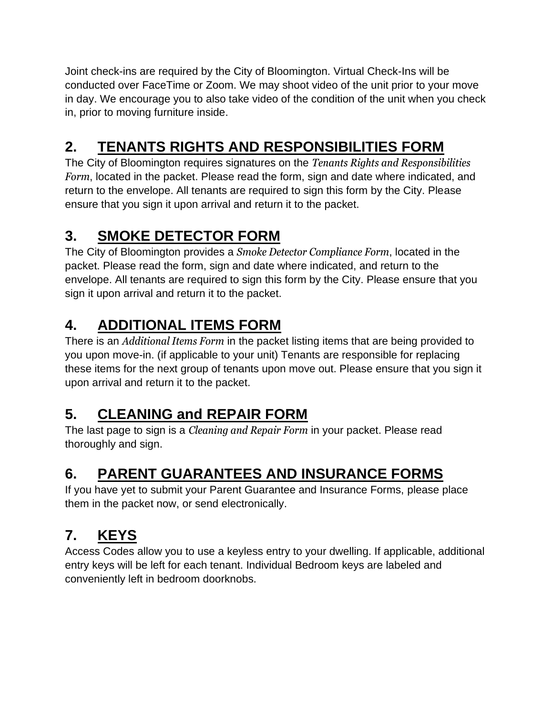Joint check-ins are required by the City of Bloomington. Virtual Check-Ins will be conducted over FaceTime or Zoom. We may shoot video of the unit prior to your move in day. We encourage you to also take video of the condition of the unit when you check in, prior to moving furniture inside.

# **2. TENANTS RIGHTS AND RESPONSIBILITIES FORM**

The City of Bloomington requires signatures on the *Tenants Rights and Responsibilities Form*, located in the packet. Please read the form, sign and date where indicated, and return to the envelope. All tenants are required to sign this form by the City. Please ensure that you sign it upon arrival and return it to the packet.

## **3. SMOKE DETECTOR FORM**

The City of Bloomington provides a *Smoke Detector Compliance Form*, located in the packet. Please read the form, sign and date where indicated, and return to the envelope. All tenants are required to sign this form by the City. Please ensure that you sign it upon arrival and return it to the packet.

# **4. ADDITIONAL ITEMS FORM**

There is an *Additional Items Form* in the packet listing items that are being provided to you upon move-in. (if applicable to your unit) Tenants are responsible for replacing these items for the next group of tenants upon move out. Please ensure that you sign it upon arrival and return it to the packet.

## **5. CLEANING and REPAIR FORM**

The last page to sign is a *Cleaning and Repair Form* in your packet. Please read thoroughly and sign.

# **6. PARENT GUARANTEES AND INSURANCE FORMS**

If you have yet to submit your Parent Guarantee and Insurance Forms, please place them in the packet now, or send electronically.

# **7. KEYS**

Access Codes allow you to use a keyless entry to your dwelling. If applicable, additional entry keys will be left for each tenant. Individual Bedroom keys are labeled and conveniently left in bedroom doorknobs.